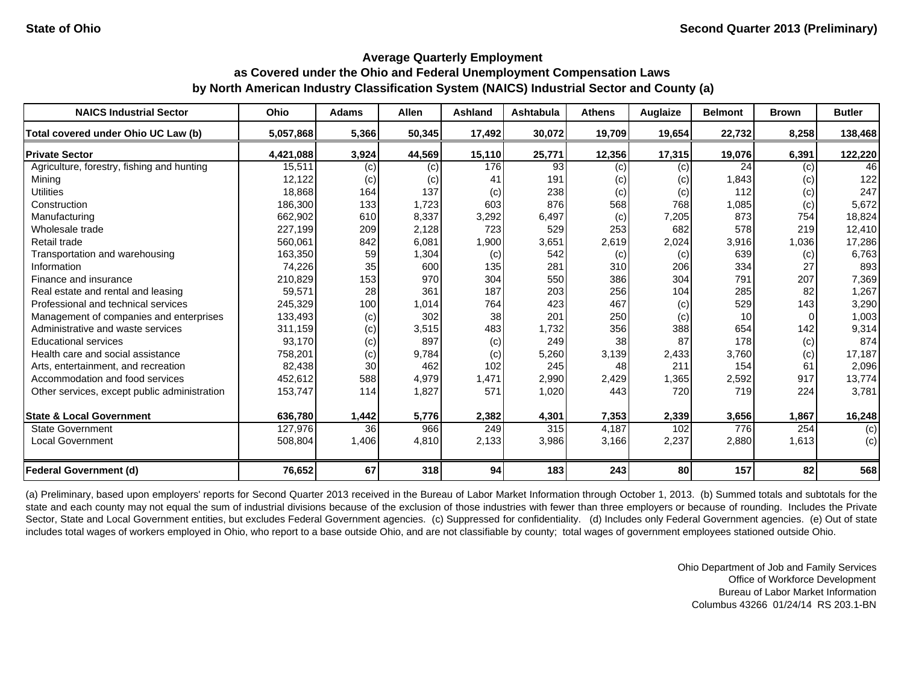| <b>NAICS Industrial Sector</b>               | Ohio      | <b>Adams</b> | Allen  | <b>Ashland</b> | Ashtabula | <b>Athens</b> | <b>Auglaize</b> | <b>Belmont</b> | <b>Brown</b> | <b>Butler</b> |
|----------------------------------------------|-----------|--------------|--------|----------------|-----------|---------------|-----------------|----------------|--------------|---------------|
| Total covered under Ohio UC Law (b)          | 5,057,868 | 5,366        | 50,345 | 17,492         | 30,072    | 19,709        | 19,654          | 22,732         | 8,258        | 138,468       |
| <b>Private Sector</b>                        | 4,421,088 | 3,924        | 44,569 | 15,110         | 25,771    | 12,356        | 17,315          | 19,076         | 6,391        | 122,220       |
| Agriculture, forestry, fishing and hunting   | 15,511    | (c)          | (c)    | 176            | 93        | (c)           | (c)             | 24             | (c)          | 46            |
| Mining                                       | 12,122    | (c)          | (c)    | 41             | 191       | (c)           | (c)             | 1,843          | (c)          | 122           |
| <b>Utilities</b>                             | 18,868    | 164          | 137    | (c)            | 238       | (c)           | (c)             | 112            | (c)          | 247           |
| Construction                                 | 186,300   | 133          | 1,723  | 603            | 876       | 568           | 768             | 1,085          | (c)          | 5,672         |
| Manufacturing                                | 662,902   | 610          | 8,337  | 3,292          | 6,497     | (c)           | 7,205           | 873            | 754          | 18,824        |
| Wholesale trade                              | 227,199   | 209          | 2,128  | 723            | 529       | 253           | 682             | 578            | 219          | 12,410        |
| Retail trade                                 | 560,061   | 842          | 6,081  | 1,900          | 3,651     | 2,619         | 2,024           | 3,916          | 1,036        | 17,286        |
| Transportation and warehousing               | 163,350   | 59           | 1,304  | (c)            | 542       | (c)           | (c)             | 639            | (c)          | 6,763         |
| Information                                  | 74,226    | 35           | 600    | 135            | 281       | 310           | 206             | 334            | 27           | 893           |
| Finance and insurance                        | 210,829   | 153          | 970    | 304            | 550       | 386           | 304             | 791            | 207          | 7,369         |
| Real estate and rental and leasing           | 59,571    | 28           | 361    | 187            | 203       | 256           | 104             | 285            | 82           | 1,267         |
| Professional and technical services          | 245,329   | 100          | 1,014  | 764            | 423       | 467           | (c)             | 529            | 143          | 3,290         |
| Management of companies and enterprises      | 133,493   | (c)          | 302    | 38             | 201       | 250           | (c)             | 10             | 0            | 1,003         |
| Administrative and waste services            | 311,159   | (c)          | 3,515  | 483            | 1,732     | 356           | 388             | 654            | 142          | 9,314         |
| <b>Educational services</b>                  | 93,170    | (c)          | 897    | (c)            | 249       | 38            | 87              | 178            | (c)          | 874           |
| Health care and social assistance            | 758,201   | (c)          | 9,784  | (c)            | 5,260     | 3,139         | 2,433           | 3,760          | $\left( $    | 17,187        |
| Arts, entertainment, and recreation          | 82,438    | 30           | 462    | 102            | 245       | 48            | 211             | 154            | 61           | 2,096         |
| Accommodation and food services              | 452,612   | 588          | 4,979  | 1,471          | 2,990     | 2,429         | 1,365           | 2,592          | 917          | 13,774        |
| Other services, except public administration | 153,747   | 114          | 1,827  | 571            | 1,020     | 443           | 720             | 719            | 224          | 3,781         |
| <b>State &amp; Local Government</b>          | 636.780   | 1,442        | 5,776  | 2,382          | 4,301     | 7,353         | 2,339           | 3,656          | 1.867        | 16,248        |
| <b>State Government</b>                      | 127,976   | 36           | 966    | 249            | 315       | 4,187         | 102             | 776            | 254          | (c)           |
| <b>Local Government</b>                      | 508,804   | 1,406        | 4,810  | 2,133          | 3,986     | 3,166         | 2,237           | 2,880          | 1,613        | (c)           |
| <b>Federal Government (d)</b>                | 76,652    | 67           | 318    | 94             | 183       | 243           | 80              | 157            | 82           | 568           |

(a) Preliminary, based upon employers' reports for Second Quarter 2013 received in the Bureau of Labor Market Information through October 1, 2013. (b) Summed totals and subtotals for the state and each county may not equal the sum of industrial divisions because of the exclusion of those industries with fewer than three employers or because of rounding. Includes the Private Sector, State and Local Government entities, but excludes Federal Government agencies. (c) Suppressed for confidentiality. (d) Includes only Federal Government agencies. (e) Out of state includes total wages of workers employed in Ohio, who report to a base outside Ohio, and are not classifiable by county; total wages of government employees stationed outside Ohio.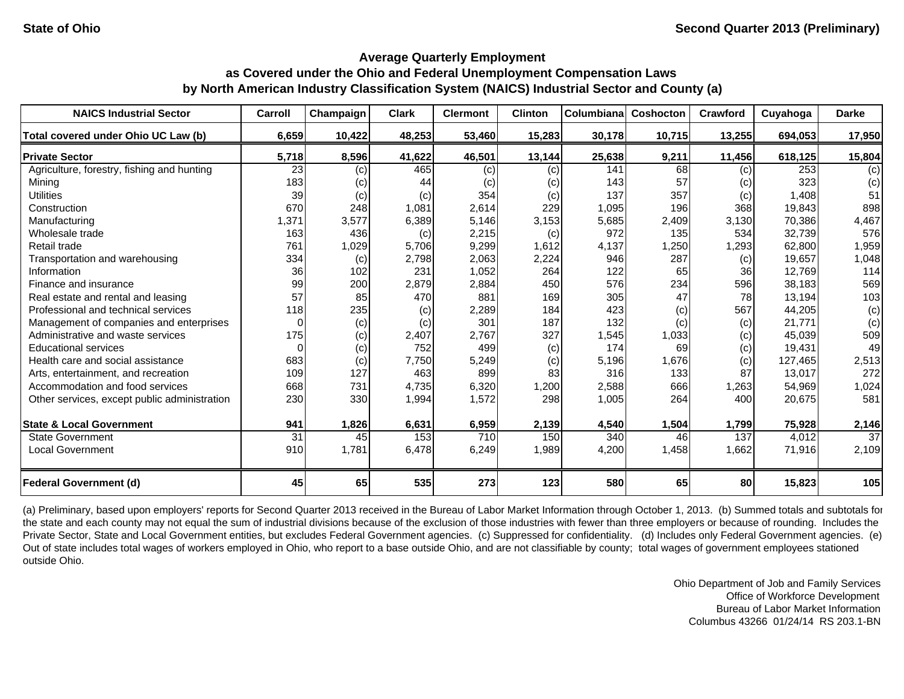| <b>NAICS Industrial Sector</b>               | Carroll  | Champaign | <b>Clark</b> | <b>Clermont</b> | <b>Clinton</b> | <b>Columbiana</b> | Coshocton | Crawford | Cuyahoga | <b>Darke</b> |
|----------------------------------------------|----------|-----------|--------------|-----------------|----------------|-------------------|-----------|----------|----------|--------------|
| Total covered under Ohio UC Law (b)          | 6,659    | 10,422    | 48,253       | 53,460          | 15,283         | 30,178            | 10,715    | 13,255   | 694,053  | 17,950       |
| <b>Private Sector</b>                        | 5,718    | 8,596     | 41,622       | 46,501          | 13,144         | 25,638            | 9,211     | 11,456   | 618,125  | 15,804       |
| Agriculture, forestry, fishing and hunting   | 23       | (c)       | 465          | (c)             | (c)            | 141               | 68        | (c)      | 253      | (c)          |
| Mining                                       | 183      | (c)       | 44           | (c)             | (c)            | 143               | 57        | (c)      | 323      | (c)          |
| <b>Utilities</b>                             | 39       | (c)       | (c)          | 354             | (c)            | 137               | 357       | (c)      | 1,408    | 51           |
| Construction                                 | 670      | 248       | 1,081        | 2,614           | 229            | 1,095             | 196       | 368      | 19,843   | 898          |
| Manufacturing                                | 1,371    | 3,577     | 6,389        | 5,146           | 3,153          | 5,685             | 2,409     | 3,130    | 70.386   | 4,467        |
| Wholesale trade                              | 163      | 436       | (c)          | 2,215           | (c)            | 972               | 135       | 534      | 32.739   | 576          |
| Retail trade                                 | 761      | 1,029     | 5,706        | 9,299           | 1,612          | 4,137             | 1,250     | 1,293    | 62,800   | 1,959        |
| Transportation and warehousing               | 334      | (c)       | 2,798        | 2,063           | 2,224          | 946               | 287       | (c)      | 19,657   | 1,048        |
| Information                                  | 36       | 102       | 231          | 1,052           | 264            | 122               | 65        | 36       | 12,769   | 114          |
| Finance and insurance                        | 99       | 200       | 2,879        | 2,884           | 450            | 576               | 234       | 596      | 38,183   | 569          |
| Real estate and rental and leasing           | 57       | 85        | 470          | 881             | 169            | 305               | 47        | 78       | 13,194   | 103          |
| Professional and technical services          | 118      | 235       | (c)          | 2,289           | 184            | 423               | (c)       | 567      | 44,205   | (c)          |
| Management of companies and enterprises      | $\Omega$ | (c)       | (c)          | 301             | 187            | 132               | (c)       | (c)      | 21,771   | (c)          |
| Administrative and waste services            | 175      | (c)       | 2,407        | 2.767           | 327            | 1,545             | 1,033     | (c)      | 45.039   | 509          |
| <b>Educational services</b>                  | 0        | (c)       | 752          | 499             | (c)            | 174               | 69        | (c)      | 19,431   | 49           |
| Health care and social assistance            | 683      | (c)       | 7,750        | 5,249           | (c)            | 5,196             | 1,676     | (c)      | 127,465  | 2,513        |
| Arts, entertainment, and recreation          | 109      | 127       | 463          | 899             | 83             | 316               | 133       | 87       | 13,017   | 272          |
| Accommodation and food services              | 668      | 731       | 4,735        | 6,320           | 1,200          | 2,588             | 666       | 1,263    | 54,969   | 1,024        |
| Other services, except public administration | 230      | 330       | 1,994        | 1,572           | 298            | 1,005             | 264       | 400      | 20,675   | 581          |
| <b>State &amp; Local Government</b>          | 941      | 1,826     | 6,631        | 6,959           | 2,139          | 4,540             | 1,504     | 1,799    | 75,928   | 2,146        |
| <b>State Government</b>                      | 31       | 45        | 153          | 710             | 150            | 340               | 46        | 137      | 4,012    | 37           |
| <b>Local Government</b>                      | 910      | 1,781     | 6,478        | 6,249           | 1,989          | 4,200             | 1,458     | 1,662    | 71,916   | 2,109        |
| <b>Federal Government (d)</b>                | 45       | 65        | 535          | 273             | 123            | 580               | 65        | 80       | 15,823   | 105          |

(a) Preliminary, based upon employers' reports for Second Quarter 2013 received in the Bureau of Labor Market Information through October 1, 2013. (b) Summed totals and subtotals for the state and each county may not equal the sum of industrial divisions because of the exclusion of those industries with fewer than three employers or because of rounding. Includes the Private Sector, State and Local Government entities, but excludes Federal Government agencies. (c) Suppressed for confidentiality. (d) Includes only Federal Government agencies. (e) Out of state includes total wages of workers employed in Ohio, who report to a base outside Ohio, and are not classifiable by county; total wages of government employees stationed outside Ohio.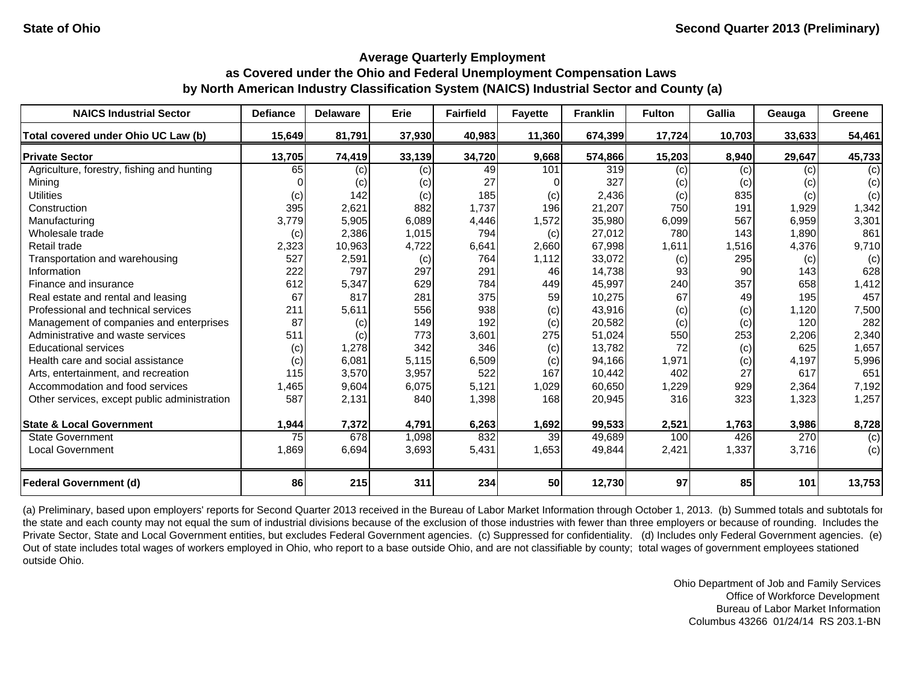| <b>NAICS Industrial Sector</b>               | <b>Defiance</b> | <b>Delaware</b> | Erie   | <b>Fairfield</b> | <b>Fayette</b> | <b>Franklin</b> | <b>Fulton</b> | Gallia | Geauga | Greene |
|----------------------------------------------|-----------------|-----------------|--------|------------------|----------------|-----------------|---------------|--------|--------|--------|
| Total covered under Ohio UC Law (b)          | 15,649          | 81,791          | 37,930 | 40,983           | 11,360         | 674,399         | 17,724        | 10,703 | 33,633 | 54,461 |
| <b>Private Sector</b>                        | 13,705          | 74,419          | 33,139 | 34,720           | 9,668          | 574,866         | 15,203        | 8,940  | 29,647 | 45,733 |
| Agriculture, forestry, fishing and hunting   | 65              | (c)             | (c)    | 49               | 101            | 319             | (c)           | (c)    | (c)    | (c)    |
| Mining                                       |                 | (c)             | (c)    | 27               |                | 327             | (c)           | (c)    | (c)    | (c)    |
| <b>Utilities</b>                             | (c)             | 142             | (c)    | 185              | (c)            | 2,436           | (c)           | 835    | (c)    | (c)    |
| Construction                                 | 395             | 2,621           | 882    | 1,737            | 196            | 21,207          | 750           | 191    | 1,929  | 1,342  |
| Manufacturing                                | 3,779           | 5,905           | 6,089  | 4,446            | 1,572          | 35,980          | 6,099         | 567    | 6,959  | 3,301  |
| Wholesale trade                              | (c)             | 2,386           | 1,015  | 794              | (c)            | 27,012          | 780           | 143    | 1,890  | 861    |
| Retail trade                                 | 2,323           | 10,963          | 4,722  | 6,641            | 2,660          | 67,998          | 1,611         | 1,516  | 4,376  | 9,710  |
| Transportation and warehousing               | 527             | 2,591           | (c)    | 764              | 1,112          | 33,072          | (c)           | 295    | (c)    | (c)    |
| Information                                  | 222             | 797             | 297    | 291              | 46             | 14,738          | 93            | 90     | 143    | 628    |
| Finance and insurance                        | 612             | 5,347           | 629    | 784              | 449            | 45,997          | 240           | 357    | 658    | 1,412  |
| Real estate and rental and leasing           | 67              | 817             | 281    | 375              | 59             | 10,275          | 67            | 49     | 195    | 457    |
| Professional and technical services          | 211             | 5,611           | 556    | 938              | (c)            | 43,916          | (c)           | (c)    | 1,120  | 7,500  |
| Management of companies and enterprises      | 87              | (c)             | 149    | 192              | (c)            | 20,582          | (c)           | (c)    | 120    | 282    |
| Administrative and waste services            | 511             | (c)             | 773    | 3,601            | 275            | 51,024          | 550           | 253    | 2,206  | 2,340  |
| <b>Educational services</b>                  | (c)             | 1,278           | 342    | 346              | (c)            | 13,782          | 72            | (c)    | 625    | 1,657  |
| Health care and social assistance            | (c)             | 6,081           | 5,115  | 6,509            | (c)            | 94,166          | 1,971         | (c)    | 4,197  | 5,996  |
| Arts, entertainment, and recreation          | 115             | 3,570           | 3,957  | 522              | 167            | 10,442          | 402           | 27     | 617    | 651    |
| Accommodation and food services              | 1,465           | 9,604           | 6,075  | 5,121            | 1,029          | 60,650          | 1,229         | 929    | 2,364  | 7,192  |
| Other services, except public administration | 587             | 2,131           | 840    | 1,398            | 168            | 20,945          | 316           | 323    | 1,323  | 1,257  |
| <b>State &amp; Local Government</b>          | 1,944           | 7,372           | 4,791  | 6,263            | 1,692          | 99,533          | 2,521         | 1,763  | 3,986  | 8,728  |
| <b>State Government</b>                      | 75              | 678             | 1,098  | 832              | 39             | 49,689          | 100           | 426    | 270    | (c)    |
| <b>Local Government</b>                      | 1,869           | 6,694           | 3,693  | 5,431            | 1,653          | 49,844          | 2,421         | 1,337  | 3,716  | (c)    |
| <b>Federal Government (d)</b>                | 86              | 215             | 311    | 234              | 50             | 12,730          | 97            | 85     | 101    | 13,753 |

(a) Preliminary, based upon employers' reports for Second Quarter 2013 received in the Bureau of Labor Market Information through October 1, 2013. (b) Summed totals and subtotals for the state and each county may not equal the sum of industrial divisions because of the exclusion of those industries with fewer than three employers or because of rounding. Includes the Private Sector, State and Local Government entities, but excludes Federal Government agencies. (c) Suppressed for confidentiality. (d) Includes only Federal Government agencies. (e) Out of state includes total wages of workers employed in Ohio, who report to a base outside Ohio, and are not classifiable by county; total wages of government employees stationed outside Ohio.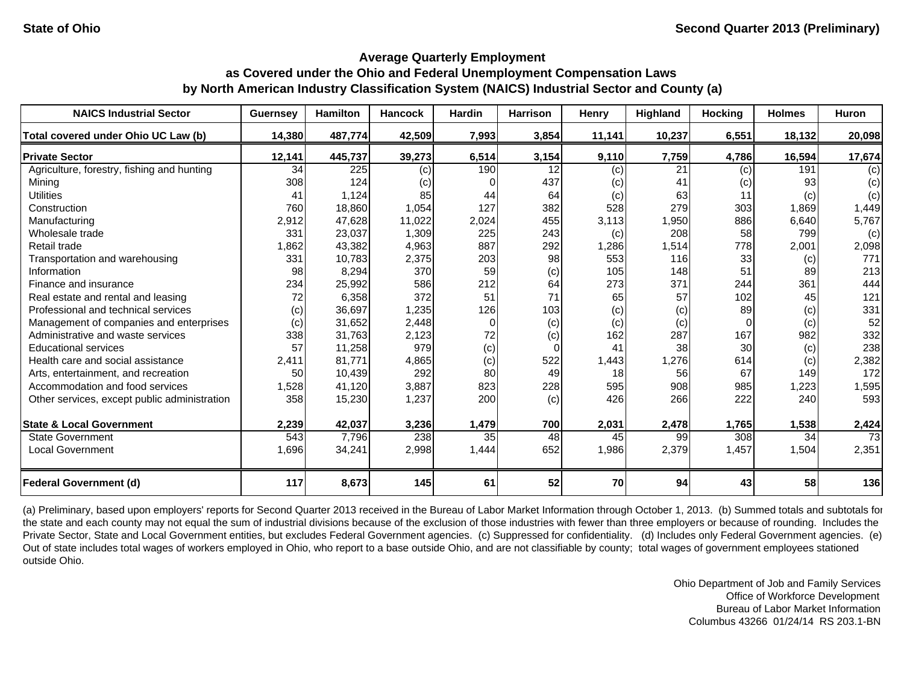| <b>NAICS Industrial Sector</b>               | <b>Guernsey</b> | <b>Hamilton</b> | <b>Hancock</b> | <b>Hardin</b> | <b>Harrison</b> | Henry  | Highland | <b>Hocking</b>  | <b>Holmes</b> | <b>Huron</b> |
|----------------------------------------------|-----------------|-----------------|----------------|---------------|-----------------|--------|----------|-----------------|---------------|--------------|
| Total covered under Ohio UC Law (b)          | 14,380          | 487,774         | 42,509         | 7,993         | 3,854           | 11,141 | 10,237   | 6,551           | 18,132        | 20,098       |
| <b>Private Sector</b>                        | 12,141          | 445,737         | 39,273         | 6,514         | 3,154           | 9,110  | 7,759    | 4,786           | 16,594        | 17,674       |
| Agriculture, forestry, fishing and hunting   | 34              | 225             | (c)            | 190           | 12              | (c)    | 21       | (c)             | 191           | (c)          |
| Mining                                       | 308             | 124             | (c)            |               | 437             | (c)    | 41       | (c)             | 93            | (c)          |
| <b>Utilities</b>                             | 41              | 1,124           | 85             | 44            | 64              | (c)    | 63       | 11              | (c)           | (c)          |
| Construction                                 | 760             | 18,860          | 1,054          | 127           | 382             | 528    | 279      | 303             | 1,869         | 1,449        |
| Manufacturing                                | 2,912           | 47,628          | 11,022         | 2,024         | 455             | 3,113  | 1,950    | 886             | 6,640         | 5,767        |
| Wholesale trade                              | 331             | 23,037          | 1,309          | 225           | 243             | (c)    | 208      | 58              | 799           | (c)          |
| Retail trade                                 | 1,862           | 43,382          | 4,963          | 887           | 292             | 1,286  | 1,514    | 778             | 2,001         | 2,098        |
| Transportation and warehousing               | 331             | 10,783          | 2,375          | 203           | 98              | 553    | 116      | 33              | (c)           | 771          |
| Information                                  | 98              | 8,294           | 370            | 59            | (c)             | 105    | 148      | 51              | 89            | 213          |
| Finance and insurance                        | 234             | 25,992          | 586            | 212           | 64              | 273    | 371      | 244             | 361           | 444          |
| Real estate and rental and leasing           | 72              | 6,358           | 372            | 51            | 71              | 65     | 57       | 102             | 45            | 121          |
| Professional and technical services          | (c)             | 36,697          | 1,235          | 126           | 103             | (c)    | (c)      | 89              | (c)           | 331          |
| Management of companies and enterprises      | (c)             | 31,652          | 2,448          | $\Omega$      | (c)             | (c)    | (c)      | $\Omega$        | (c)           | 52           |
| Administrative and waste services            | 338             | 31,763          | 2,123          | 72            | (c)             | 162    | 287      | 167             | 982           | 332          |
| <b>Educational services</b>                  | 57              | 11,258          | 979            | (c)           | $\Omega$        | 41     | 38       | <b>30</b>       | (c)           | 238          |
| Health care and social assistance            | 2.411           | 81.771          | 4,865          | (c)           | 522             | 1,443  | 1,276    | 614             | (c)           | 2,382        |
| Arts, entertainment, and recreation          | 50              | 10,439          | 292            | 80            | 49              | 18     | 56       | 67              | 149           | 172          |
| Accommodation and food services              | 1,528           | 41,120          | 3,887          | 823           | 228             | 595    | 908      | 985             | 1,223         | 1,595        |
| Other services, except public administration | 358             | 15,230          | 1,237          | 200           | (c)             | 426    | 266      | 222             | 240           | 593          |
| <b>State &amp; Local Government</b>          | 2,239           | 42,037          | 3,236          | 1,479         | 700             | 2,031  | 2,478    | 1,765           | 1,538         | 2,424        |
| <b>State Government</b>                      | 543             | 7,796           | 238            | 35            | 48              | 45     | 99       | 308             | 34            | 73           |
| <b>Local Government</b>                      | 1,696           | 34,241          | 2,998          | 1,444         | 652             | 1,986  | 2,379    | 1,457           | 1,504         | 2,351        |
| <b>Federal Government (d)</b>                | 117             | 8,673           | 145            | 61            | 52              | 70     | 94       | 43 <sub>l</sub> | 58            | 136          |

(a) Preliminary, based upon employers' reports for Second Quarter 2013 received in the Bureau of Labor Market Information through October 1, 2013. (b) Summed totals and subtotals for the state and each county may not equal the sum of industrial divisions because of the exclusion of those industries with fewer than three employers or because of rounding. Includes the Private Sector, State and Local Government entities, but excludes Federal Government agencies. (c) Suppressed for confidentiality. (d) Includes only Federal Government agencies. (e) Out of state includes total wages of workers employed in Ohio, who report to a base outside Ohio, and are not classifiable by county; total wages of government employees stationed outside Ohio.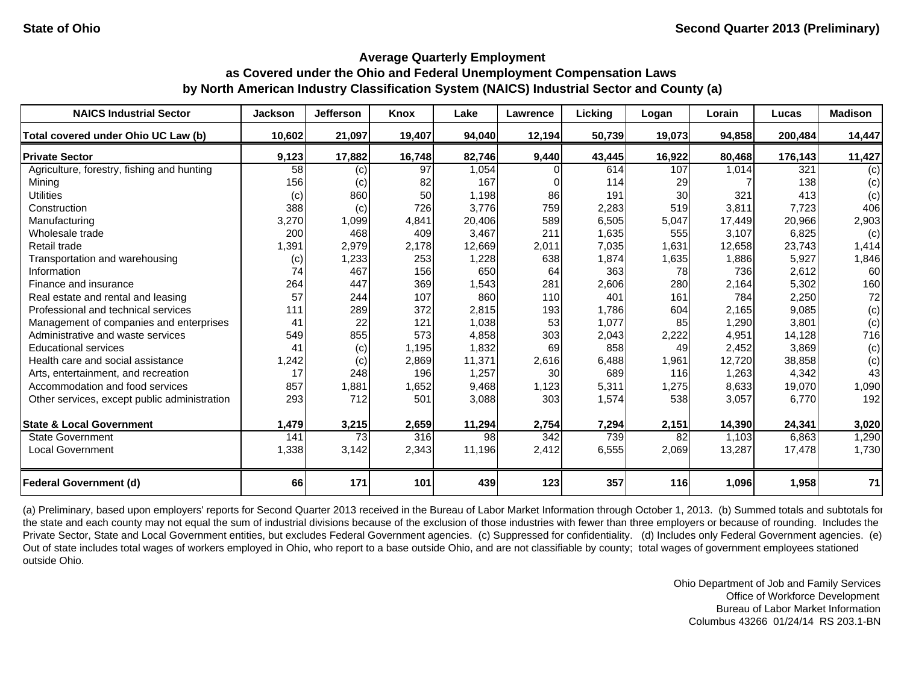| <b>NAICS Industrial Sector</b>               | <b>Jackson</b> | <b>Jefferson</b> | Knox   | Lake   | Lawrence         | Licking | Logan  | Lorain | Lucas   | <b>Madison</b> |
|----------------------------------------------|----------------|------------------|--------|--------|------------------|---------|--------|--------|---------|----------------|
| Total covered under Ohio UC Law (b)          | 10,602         | 21,097           | 19,407 | 94,040 | 12,194           | 50,739  | 19,073 | 94,858 | 200,484 | 14,447         |
| <b>Private Sector</b>                        | 9,123          | 17,882           | 16,748 | 82,746 | 9,440            | 43,445  | 16,922 | 80,468 | 176,143 | 11,427         |
| Agriculture, forestry, fishing and hunting   | 58             | (c)              | 97     | 1,054  |                  | 614     | 107    | 1,014  | 321     | (c)            |
| Mining                                       | 156            | (c)              | 82     | 167    |                  | 114     | 29     |        | 138     | (c)            |
| <b>Utilities</b>                             | (c)            | 860              | 50     | 1,198  | 86               | 191     | 30     | 321    | 413     | (c)            |
| Construction                                 | 388            | (c)              | 726    | 3,776  | 759              | 2,283   | 519    | 3,811  | 7,723   | 406            |
| Manufacturing                                | 3,270          | 1,099            | 4,841  | 20,406 | 589              | 6,505   | 5,047  | 17,449 | 20,966  | 2,903          |
| Wholesale trade                              | 200            | 468              | 409    | 3,467  | 211              | 1,635   | 555    | 3.107  | 6,825   | (c)            |
| Retail trade                                 | 1,391          | 2,979            | 2,178  | 12,669 | 2,011            | 7,035   | 1,631  | 12,658 | 23.743  | 1,414          |
| Transportation and warehousing               | (c)            | 1,233            | 253    | 1,228  | 638              | 1,874   | 1,635  | 1,886  | 5,927   | 1,846          |
| Information                                  | 74             | 467              | 156    | 650    | 64               | 363     | 78     | 736    | 2,612   | 60             |
| Finance and insurance                        | 264            | 447              | 369    | 1,543  | 281              | 2,606   | 280    | 2,164  | 5,302   | 160            |
| Real estate and rental and leasing           | 57             | 244              | 107    | 860    | 110              | 401     | 161    | 784    | 2,250   | 72             |
| Professional and technical services          | 111            | 289              | 372    | 2,815  | 193              | 1,786   | 604    | 2,165  | 9,085   | (c)            |
| Management of companies and enterprises      | 41             | 22               | 121    | 1,038  | 53               | 1,077   | 85     | 1,290  | 3,801   | (c)            |
| Administrative and waste services            | 549            | 855              | 573    | 4,858  | 303              | 2,043   | 2,222  | 4,951  | 14.128  | 716            |
| <b>Educational services</b>                  | 41             | (c)              | 1,195  | 1,832  | 69               | 858     | 49     | 2,452  | 3,869   | (c)            |
| Health care and social assistance            | 1,242          | (c)              | 2,869  | 11,371 | 2,616            | 6,488   | 1,961  | 12,720 | 38,858  | (c)            |
| Arts, entertainment, and recreation          | 17             | 248              | 196    | 1,257  | 30               | 689     | 116    | 1,263  | 4,342   | 43             |
| Accommodation and food services              | 857            | 1,881            | 1,652  | 9,468  | 1,123            | 5,311   | 1,275  | 8,633  | 19,070  | 1,090          |
| Other services, except public administration | 293            | 712              | 501    | 3,088  | 303              | 1,574   | 538    | 3,057  | 6,770   | 192            |
| <b>State &amp; Local Government</b>          | 1,479          | 3,215            | 2,659  | 11,294 | 2,754            | 7,294   | 2,151  | 14,390 | 24,341  | 3,020          |
| <b>State Government</b>                      | 141            | 73               | 316    | 98     | $\overline{342}$ | 739     | 82     | 1,103  | 6,863   | 1,290          |
| <b>Local Government</b>                      | 1,338          | 3,142            | 2,343  | 11,196 | 2,412            | 6,555   | 2,069  | 13,287 | 17,478  | 1,730          |
| <b>Federal Government (d)</b>                | 66             | 171              | 101    | 439    | 123              | 357     | 116    | 1,096  | 1,958   | 71             |

(a) Preliminary, based upon employers' reports for Second Quarter 2013 received in the Bureau of Labor Market Information through October 1, 2013. (b) Summed totals and subtotals for the state and each county may not equal the sum of industrial divisions because of the exclusion of those industries with fewer than three employers or because of rounding. Includes the Private Sector, State and Local Government entities, but excludes Federal Government agencies. (c) Suppressed for confidentiality. (d) Includes only Federal Government agencies. (e) Out of state includes total wages of workers employed in Ohio, who report to a base outside Ohio, and are not classifiable by county; total wages of government employees stationed outside Ohio.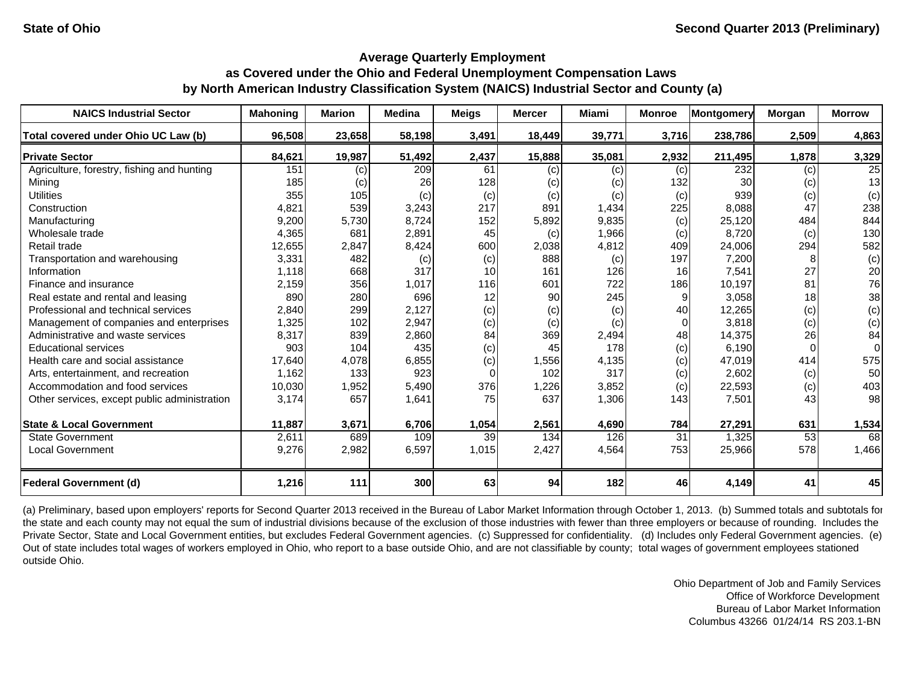| <b>NAICS Industrial Sector</b>               | <b>Mahoning</b> | <b>Marion</b> | <b>Medina</b> | <b>Meigs</b> | <b>Mercer</b> | Miami  | <b>Monroe</b> | <b>Montgomery</b> | Morgan | <b>Morrow</b> |
|----------------------------------------------|-----------------|---------------|---------------|--------------|---------------|--------|---------------|-------------------|--------|---------------|
| Total covered under Ohio UC Law (b)          | 96,508          | 23,658        | 58,198        | 3,491        | 18,449        | 39,771 | 3,716         | 238,786           | 2,509  | 4,863         |
| <b>Private Sector</b>                        | 84,621          | 19,987        | 51,492        | 2,437        | 15,888        | 35,081 | 2,932         | 211,495           | 1,878  | 3,329         |
| Agriculture, forestry, fishing and hunting   | 151             | (c)           | 209           | 61           | (c)           | (c)    | (c)           | 232               | (c)    | 25            |
| Mining                                       | 185             | (c)           | 26            | 128          | (c)           | (c)    | 132           | 30                | (c)    | 13            |
| <b>Utilities</b>                             | 355             | 105           | (c)           | (c)          | (c)           | (c)    | (c)           | 939               | (c)    | (c)           |
| Construction                                 | 4,821           | 539           | 3,243         | 217          | 891           | 1,434  | 225           | 8,088             | 47     | 238           |
| Manufacturing                                | 9,200           | 5,730         | 8,724         | 152          | 5,892         | 9,835  | (c)           | 25,120            | 484    | 844           |
| Wholesale trade                              | 4,365           | 681           | 2,891         | 45           | (c)           | 1,966  | (c)           | 8,720             | (c)    | 130           |
| Retail trade                                 | 12,655          | 2,847         | 8,424         | 600          | 2,038         | 4,812  | 409           | 24,006            | 294    | 582           |
| Transportation and warehousing               | 3,331           | 482           | (c)           | (c)          | 888           | (c)    | 197           | 7,200             |        | (c)           |
| Information                                  | 1.118           | 668           | 317           | 10           | 161           | 126    | 16            | 7,541             | 27     | 20            |
| Finance and insurance                        | 2,159           | 356           | 1,017         | 116          | 601           | 722    | 186           | 10,197            | 81     | 76            |
| Real estate and rental and leasing           | 890             | 280           | 696           | 12           | 90            | 245    | 9             | 3,058             | 18     | 38            |
| Professional and technical services          | 2,840           | 299           | 2,127         | (c)          | (c)           | (c)    | 40            | 12,265            | (c)    | (c)           |
| Management of companies and enterprises      | 1,325           | 102           | 2,947         | (c)          | (c)           | (c)    | $\Omega$      | 3,818             | (c)    | (c)           |
| Administrative and waste services            | 8,317           | 839           | 2,860         | 84           | 369           | 2,494  | 48            | 14,375            | 26     | 84            |
| <b>Educational services</b>                  | 903             | 104           | 435           | (c)          | 45            | 178    | (c)           | 6.190             |        | $\Omega$      |
| Health care and social assistance            | 17,640          | 4,078         | 6,855         | (c)          | 1,556         | 4,135  | (c)           | 47,019            | 414    | 575           |
| Arts, entertainment, and recreation          | 1,162           | 133           | 923           | $\Omega$     | 102           | 317    | (c)           | 2,602             | (c)    | 50            |
| Accommodation and food services              | 10,030          | 1,952         | 5,490         | 376          | 1,226         | 3,852  | (c)           | 22,593            | (c)    | 403           |
| Other services, except public administration | 3,174           | 657           | 1,641         | 75           | 637           | 1,306  | 143           | 7,501             | 43     | 98            |
| <b>State &amp; Local Government</b>          | 11,887          | 3,671         | 6,706         | 1,054        | 2,561         | 4,690  | 784           | 27,291            | 631    | 1,534         |
| <b>State Government</b>                      | 2,611           | 689           | 109           | 39           | 134           | 126    | 31            | 1,325             | 53     | 68            |
| <b>Local Government</b>                      | 9,276           | 2,982         | 6,597         | 1,015        | 2,427         | 4,564  | 753           | 25,966            | 578    | 1,466         |
| <b>Federal Government (d)</b>                | 1,216           | 111           | 300           | 63           | 94            | 182    | 46            | 4,149             | 41     | 45            |

(a) Preliminary, based upon employers' reports for Second Quarter 2013 received in the Bureau of Labor Market Information through October 1, 2013. (b) Summed totals and subtotals for the state and each county may not equal the sum of industrial divisions because of the exclusion of those industries with fewer than three employers or because of rounding. Includes the Private Sector, State and Local Government entities, but excludes Federal Government agencies. (c) Suppressed for confidentiality. (d) Includes only Federal Government agencies. (e) Out of state includes total wages of workers employed in Ohio, who report to a base outside Ohio, and are not classifiable by county; total wages of government employees stationed outside Ohio.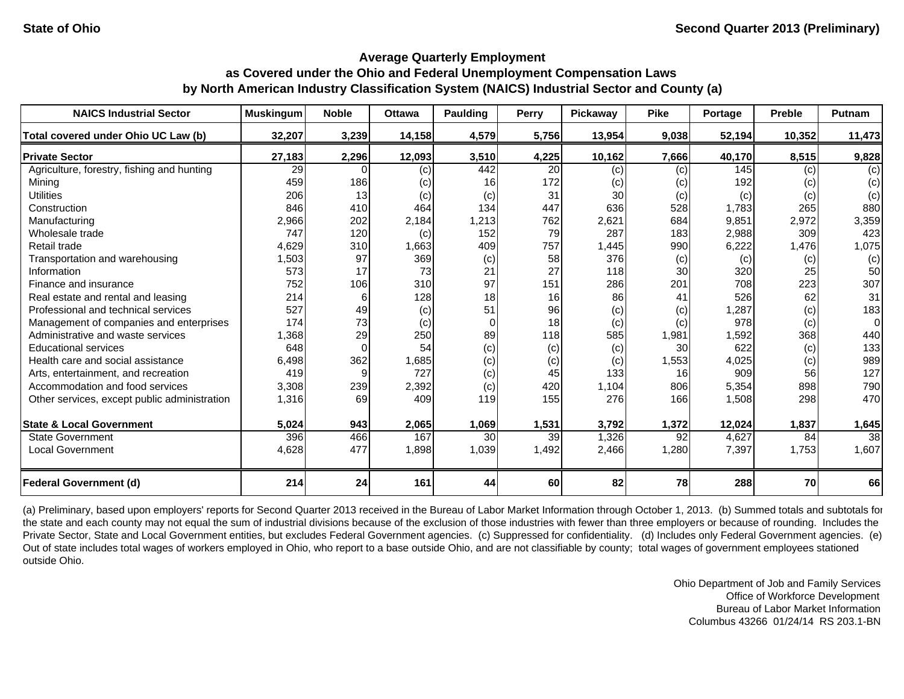| <b>NAICS Industrial Sector</b>               | <b>Muskingum</b> | <b>Noble</b> | <b>Ottawa</b> | Paulding        | <b>Perry</b> | Pickaway | <b>Pike</b> | Portage | <b>Preble</b> | Putnam   |
|----------------------------------------------|------------------|--------------|---------------|-----------------|--------------|----------|-------------|---------|---------------|----------|
| Total covered under Ohio UC Law (b)          | 32,207           | 3,239        | 14,158        | 4,579           | 5,756        | 13,954   | 9,038       | 52,194  | 10,352        | 11,473   |
| <b>Private Sector</b>                        | 27,183           | 2,296        | 12,093        | 3,510           | 4,225        | 10,162   | 7,666       | 40,170  | 8,515         | 9,828    |
| Agriculture, forestry, fishing and hunting   | 29               |              | (c)           | 442             | 20           | (c)      | (c)         | 145     | (c)           | (c)      |
| Mining                                       | 459              | 186          | (c)           | 16              | 172          | (c)      | (c)         | 192     | (c)           | (c)      |
| <b>Utilities</b>                             | 206              | 13           | (c)           | (c)             | 31           | 30       | (c)         | (c)     | (c)           | (c)      |
| Construction                                 | 846              | 410          | 464           | 134             | 447          | 636      | 528         | 1,783   | 265           | 880      |
| Manufacturing                                | 2,966            | 202          | 2,184         | 1,213           | 762          | 2,621    | 684         | 9,851   | 2,972         | 3,359    |
| Wholesale trade                              | 747              | 120          | (c)           | 152             | 79           | 287      | 183         | 2,988   | 309           | 423      |
| Retail trade                                 | 4,629            | 310          | 1,663         | 409             | 757          | 1,445    | 990         | 6,222   | 1,476         | 1,075    |
| Transportation and warehousing               | 1,503            | 97           | 369           | (c)             | 58           | 376      | (c)         | (c)     | (c)           | (c)      |
| Information                                  | 573              | 17           | 73            | 21              | 27           | 118      | 30          | 320     | 25            | 50       |
| Finance and insurance                        | 752              | 106          | 310           | 97              | 151          | 286      | 201         | 708     | 223           | 307      |
| Real estate and rental and leasing           | 214              | 6            | 128           | 18              | 16           | 86       | 41          | 526     | 62            | 31       |
| Professional and technical services          | 527              | 49           | (c)           | 51              | 96           | (c)      | (c)         | ,287    | (c)           | 183      |
| Management of companies and enterprises      | 174              | 73           | (c)           | $\Omega$        | 18           | (c)      | (c)         | 978     | (c)           | $\Omega$ |
| Administrative and waste services            | 1,368            | 29           | 250           | 89              | 118          | 585      | 1,981       | 1,592   | 368           | 440      |
| <b>Educational services</b>                  | 648              | $\Omega$     | 54            | (c)             | (c)          | (c)      | 30          | 622     | (c)           | 133      |
| Health care and social assistance            | 6,498            | 362          | 1,685         | (c)             | (c)          | (c)      | 1,553       | 4,025   | (c)           | 989      |
| Arts, entertainment, and recreation          | 419              | 9            | 727           | (c)             | 45           | 133      | 16          | 909     | 56            | 127      |
| Accommodation and food services              | 3,308            | 239          | 2,392         | (c)             | 420          | 1,104    | 806         | 5,354   | 898           | 790      |
| Other services, except public administration | 1,316            | 69           | 409           | 119             | 155          | 276      | 166         | 1,508   | 298           | 470      |
| <b>State &amp; Local Government</b>          | 5,024            | 943          | 2,065         | 1,069           | 1,531        | 3,792    | 1,372       | 12,024  | 1,837         | 1,645    |
| <b>State Government</b>                      | 396              | 466          | 167           | 30 <sup>1</sup> | 39           | 1,326    | 92          | 4,627   | 84            | 38       |
| <b>Local Government</b>                      | 4,628            | 477          | 1,898         | 1,039           | 1,492        | 2,466    | 1,280       | 7,397   | 1,753         | 1,607    |
| <b>Federal Government (d)</b>                | 214              | 24           | 161           | 44              | 60           | 82       | 78          | 288     | 70            | 66       |

(a) Preliminary, based upon employers' reports for Second Quarter 2013 received in the Bureau of Labor Market Information through October 1, 2013. (b) Summed totals and subtotals for the state and each county may not equal the sum of industrial divisions because of the exclusion of those industries with fewer than three employers or because of rounding. Includes the Private Sector, State and Local Government entities, but excludes Federal Government agencies. (c) Suppressed for confidentiality. (d) Includes only Federal Government agencies. (e) Out of state includes total wages of workers employed in Ohio, who report to a base outside Ohio, and are not classifiable by county; total wages of government employees stationed outside Ohio.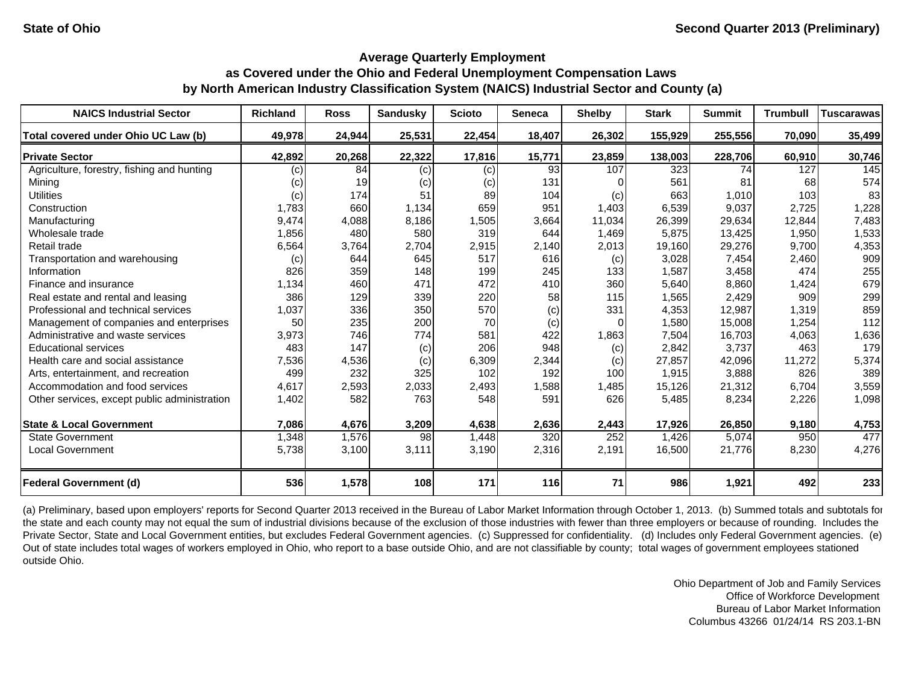| <b>NAICS Industrial Sector</b>               | <b>Richland</b> | <b>Ross</b> | <b>Sandusky</b> | <b>Scioto</b> | Seneca | <b>Shelby</b> | <b>Stark</b> | <b>Summit</b> | <b>Trumbull</b> | <b>Tuscarawas</b> |
|----------------------------------------------|-----------------|-------------|-----------------|---------------|--------|---------------|--------------|---------------|-----------------|-------------------|
| Total covered under Ohio UC Law (b)          | 49,978          | 24,944      | 25,531          | 22,454        | 18,407 | 26,302        | 155,929      | 255,556       | 70,090          | 35,499            |
| <b>Private Sector</b>                        | 42,892          | 20,268      | 22,322          | 17,816        | 15,771 | 23,859        | 138,003      | 228,706       | 60,910          | 30,746            |
| Agriculture, forestry, fishing and hunting   | (c)             | 84          | (c)             | (c)           | 93     | 107           | 323          | 74            | 127             | 145               |
| Mining                                       | (c)             | 19          | (c)             | (c)           | 131    |               | 561          | 81            | 68              | 574               |
| <b>Utilities</b>                             | (c)             | 174         | 51              | 89            | 104    | (c)           | 663          | 1,010         | 103             | 83                |
| Construction                                 | 1,783           | 660         | 1,134           | 659           | 951    | 1,403         | 6,539        | 9,037         | 2,725           | 1,228             |
| Manufacturing                                | 9,474           | 4,088       | 8,186           | 1,505         | 3,664  | 11,034        | 26,399       | 29,634        | 12,844          | 7,483             |
| Wholesale trade                              | 1,856           | 480         | 580             | 319           | 644    | 1,469         | 5,875        | 13,425        | 1,950           | 1,533             |
| Retail trade                                 | 6,564           | 3,764       | 2,704           | 2,915         | 2,140  | 2,013         | 19,160       | 29,276        | 9,700           | 4,353             |
| Transportation and warehousing               | (c)             | 644         | 645             | 517           | 616    | (c)           | 3,028        | 7,454         | 2,460           | 909               |
| Information                                  | 826             | 359         | 148             | 199           | 245    | 133           | 1,587        | 3,458         | 474             | 255               |
| Finance and insurance                        | 1,134           | 460         | 471             | 472           | 410    | 360           | 5,640        | 8,860         | 1,424           | 679               |
| Real estate and rental and leasing           | 386             | 129         | 339             | 220           | 58     | 115           | 1,565        | 2,429         | 909             | 299               |
| Professional and technical services          | 1,037           | 336         | 350             | 570           | (c)    | 331           | 4,353        | 12,987        | 1,319           | 859               |
| Management of companies and enterprises      | 50              | 235         | 200             | 70            | (c)    | 0             | 1,580        | 15,008        | 1,254           | 112               |
| Administrative and waste services            | 3,973           | 746         | 774             | 581           | 422    | 1,863         | 7,504        | 16,703        | 4,063           | 1,636             |
| <b>Educational services</b>                  | 483             | 147         | (c)             | 206           | 948    | (c)           | 2,842        | 3.737         | 463             | 179               |
| Health care and social assistance            | 7,536           | 4,536       | (c)             | 6,309         | 2,344  | (c)           | 27,857       | 42,096        | 11,272          | 5,374             |
| Arts, entertainment, and recreation          | 499             | 232         | 325             | 102           | 192    | 100           | 1,915        | 3,888         | 826             | 389               |
| Accommodation and food services              | 4,617           | 2,593       | 2,033           | 2,493         | 1,588  | 1,485         | 15,126       | 21,312        | 6,704           | 3,559             |
| Other services, except public administration | 1,402           | 582         | 763             | 548           | 591    | 626           | 5,485        | 8,234         | 2,226           | 1,098             |
| <b>State &amp; Local Government</b>          | 7,086           | 4,676       | 3,209           | 4,638         | 2,636  | 2,443         | 17,926       | 26,850        | 9,180           | 4,753             |
| <b>State Government</b>                      | 1,348           | 1,576       | 98              | 1,448         | 320    | 252           | 1,426        | 5,074         | 950             | 477               |
| <b>Local Government</b>                      | 5,738           | 3,100       | 3,111           | 3,190         | 2,316  | 2,191         | 16,500       | 21,776        | 8,230           | 4,276             |
| <b>Federal Government (d)</b>                | 536             | 1,578       | 108             | 171           | 116    | 71            | 986          | 1,921         | 492             | 233               |

(a) Preliminary, based upon employers' reports for Second Quarter 2013 received in the Bureau of Labor Market Information through October 1, 2013. (b) Summed totals and subtotals for the state and each county may not equal the sum of industrial divisions because of the exclusion of those industries with fewer than three employers or because of rounding. Includes the Private Sector, State and Local Government entities, but excludes Federal Government agencies. (c) Suppressed for confidentiality. (d) Includes only Federal Government agencies. (e) Out of state includes total wages of workers employed in Ohio, who report to a base outside Ohio, and are not classifiable by county; total wages of government employees stationed outside Ohio.